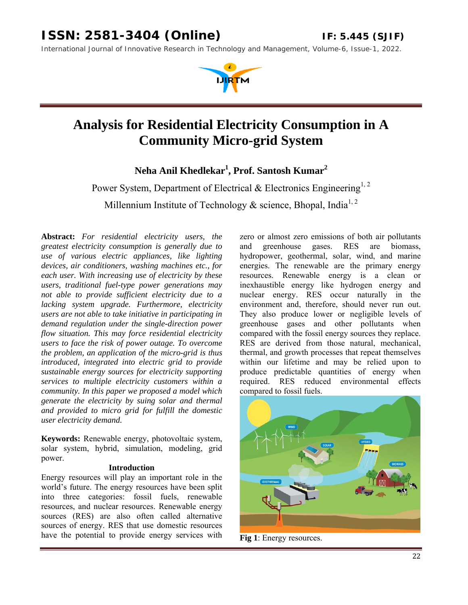*International Journal of Innovative Research in Technology and Management, Volume-6, Issue-1, 2022.* 



# **Analysis for Residential Electricity Consumption in A Community Micro-grid System**

**Neha Anil Khedlekar1 , Prof. Santosh Kumar2** 

Power System, Department of Electrical & Electronics Engineering<sup>1, 2</sup>

Millennium Institute of Technology & science, Bhopal, India<sup>1, 2</sup>

**Abstract:** *For residential electricity users, the greatest electricity consumption is generally due to use of various electric appliances, like lighting devices, air conditioners, washing machines etc., for each user. With increasing use of electricity by these users, traditional fuel-type power generations may not able to provide sufficient electricity due to a lacking system upgrade. Furthermore, electricity users are not able to take initiative in participating in demand regulation under the single-direction power flow situation. This may force residential electricity users to face the risk of power outage. To overcome the problem, an application of the micro-grid is thus introduced, integrated into electric grid to provide sustainable energy sources for electricity supporting services to multiple electricity customers within a community. In this paper we proposed a model which generate the electricity by suing solar and thermal and provided to micro grid for fulfill the domestic user electricity demand.* 

**Keywords:** Renewable energy, photovoltaic system, solar system, hybrid, simulation, modeling, grid power.

#### **Introduction**

Energy resources will play an important role in the world's future. The energy resources have been split into three categories: fossil fuels, renewable resources, and nuclear resources. Renewable energy sources (RES) are also often called alternative sources of energy. RES that use domestic resources have the potential to provide energy services with zero or almost zero emissions of both air pollutants and greenhouse gases. RES are biomass, hydropower, geothermal, solar, wind, and marine energies. The renewable are the primary energy resources. Renewable energy is a clean or inexhaustible energy like hydrogen energy and nuclear energy. RES occur naturally in the environment and, therefore, should never run out. They also produce lower or negligible levels of greenhouse gases and other pollutants when compared with the fossil energy sources they replace. RES are derived from those natural, mechanical, thermal, and growth processes that repeat themselves within our lifetime and may be relied upon to produce predictable quantities of energy when required. RES reduced environmental effects compared to fossil fuels.



**Fig 1**: Energy resources.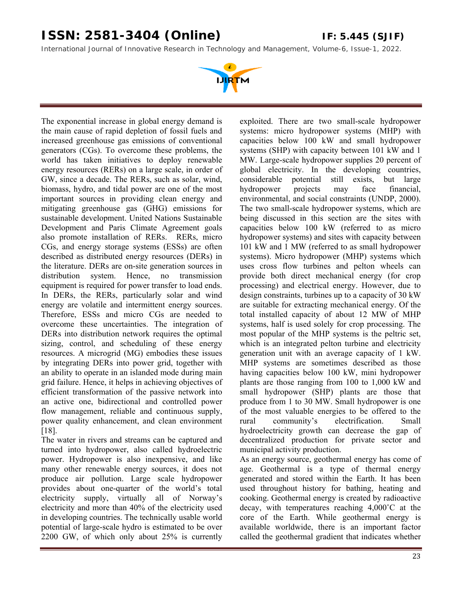*International Journal of Innovative Research in Technology and Management, Volume-6, Issue-1, 2022.* 



The exponential increase in global energy demand is the main cause of rapid depletion of fossil fuels and increased greenhouse gas emissions of conventional generators (CGs). To overcome these problems, the world has taken initiatives to deploy renewable energy resources (RERs) on a large scale, in order of GW, since a decade. The RERs, such as solar, wind, biomass, hydro, and tidal power are one of the most important sources in providing clean energy and mitigating greenhouse gas (GHG) emissions for sustainable development. United Nations Sustainable Development and Paris Climate Agreement goals also promote installation of RERs. RERs, micro CGs, and energy storage systems (ESSs) are often described as distributed energy resources (DERs) in the literature. DERs are on-site generation sources in distribution system. Hence, no transmission equipment is required for power transfer to load ends. In DERs, the RERs, particularly solar and wind energy are volatile and intermittent energy sources. Therefore, ESSs and micro CGs are needed to overcome these uncertainties. The integration of DERs into distribution network requires the optimal sizing, control, and scheduling of these energy resources. A microgrid (MG) embodies these issues by integrating DERs into power grid, together with an ability to operate in an islanded mode during main grid failure. Hence, it helps in achieving objectives of efficient transformation of the passive network into an active one, bidirectional and controlled power flow management, reliable and continuous supply, power quality enhancement, and clean environment [18].

The water in rivers and streams can be captured and turned into hydropower, also called hydroelectric power. Hydropower is also inexpensive, and like many other renewable energy sources, it does not produce air pollution. Large scale hydropower provides about one-quarter of the world's total electricity supply, virtually all of Norway's electricity and more than 40% of the electricity used in developing countries. The technically usable world potential of large-scale hydro is estimated to be over 2200 GW, of which only about 25% is currently

exploited. There are two small-scale hydropower systems: micro hydropower systems (MHP) with capacities below 100 kW and small hydropower systems (SHP) with capacity between 101 kW and 1 MW. Large-scale hydropower supplies 20 percent of global electricity. In the developing countries, considerable potential still exists, but large hydropower projects may face financial, environmental, and social constraints (UNDP, 2000). The two small-scale hydropower systems, which are being discussed in this section are the sites with capacities below 100 kW (referred to as micro hydropower systems) and sites with capacity between 101 kW and 1 MW (referred to as small hydropower systems). Micro hydropower (MHP) systems which uses cross flow turbines and pelton wheels can provide both direct mechanical energy (for crop processing) and electrical energy. However, due to design constraints, turbines up to a capacity of 30 kW are suitable for extracting mechanical energy. Of the total installed capacity of about 12 MW of MHP systems, half is used solely for crop processing. The most popular of the MHP systems is the peltric set, which is an integrated pelton turbine and electricity generation unit with an average capacity of 1 kW. MHP systems are sometimes described as those having capacities below 100 kW, mini hydropower plants are those ranging from 100 to 1,000 kW and small hydropower (SHP) plants are those that produce from 1 to 30 MW. Small hydropower is one of the most valuable energies to be offered to the rural community's electrification. Small hydroelectricity growth can decrease the gap of decentralized production for private sector and municipal activity production.

As an energy source, geothermal energy has come of age. Geothermal is a type of thermal energy generated and stored within the Earth. It has been used throughout history for bathing, heating and cooking. Geothermal energy is created by radioactive decay, with temperatures reaching 4,000˚C at the core of the Earth. While geothermal energy is available worldwide, there is an important factor called the geothermal gradient that indicates whether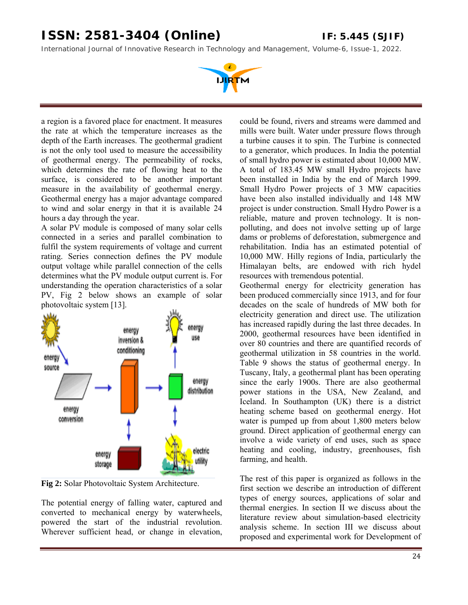*International Journal of Innovative Research in Technology and Management, Volume-6, Issue-1, 2022.* 



a region is a favored place for enactment. It measures the rate at which the temperature increases as the depth of the Earth increases. The geothermal gradient is not the only tool used to measure the accessibility of geothermal energy. The permeability of rocks, which determines the rate of flowing heat to the surface, is considered to be another important measure in the availability of geothermal energy. Geothermal energy has a major advantage compared to wind and solar energy in that it is available 24 hours a day through the year.

A solar PV module is composed of many solar cells connected in a series and parallel combination to fulfil the system requirements of voltage and current rating. Series connection defines the PV module output voltage while parallel connection of the cells determines what the PV module output current is. For understanding the operation characteristics of a solar PV, Fig 2 below shows an example of solar photovoltaic system [13].



**Fig 2:** Solar Photovoltaic System Architecture.

The potential energy of falling water, captured and converted to mechanical energy by waterwheels, powered the start of the industrial revolution. Wherever sufficient head, or change in elevation,

could be found, rivers and streams were dammed and mills were built. Water under pressure flows through a turbine causes it to spin. The Turbine is connected to a generator, which produces. In India the potential of small hydro power is estimated about 10,000 MW. A total of 183.45 MW small Hydro projects have been installed in India by the end of March 1999. Small Hydro Power projects of 3 MW capacities have been also installed individually and 148 MW project is under construction. Small Hydro Power is a reliable, mature and proven technology. It is nonpolluting, and does not involve setting up of large dams or problems of deforestation, submergence and rehabilitation. India has an estimated potential of 10,000 MW. Hilly regions of India, particularly the Himalayan belts, are endowed with rich hydel resources with tremendous potential.

Geothermal energy for electricity generation has been produced commercially since 1913, and for four decades on the scale of hundreds of MW both for electricity generation and direct use. The utilization has increased rapidly during the last three decades. In 2000, geothermal resources have been identified in over 80 countries and there are quantified records of geothermal utilization in 58 countries in the world. Table 9 shows the status of geothermal energy. In Tuscany, Italy, a geothermal plant has been operating since the early 1900s. There are also geothermal power stations in the USA, New Zealand, and Iceland. In Southampton (UK) there is a district heating scheme based on geothermal energy. Hot water is pumped up from about 1,800 meters below ground. Direct application of geothermal energy can involve a wide variety of end uses, such as space heating and cooling, industry, greenhouses, fish farming, and health.

The rest of this paper is organized as follows in the first section we describe an introduction of different types of energy sources, applications of solar and thermal energies. In section II we discuss about the literature review about simulation-based electricity analysis scheme. In section III we discuss about proposed and experimental work for Development of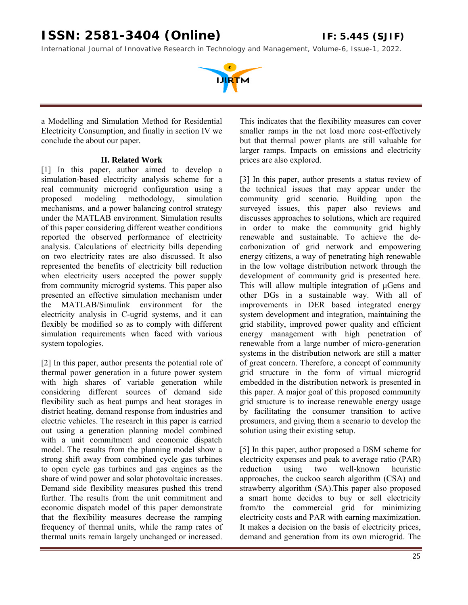*International Journal of Innovative Research in Technology and Management, Volume-6, Issue-1, 2022.* 



a Modelling and Simulation Method for Residential Electricity Consumption, and finally in section IV we conclude the about our paper.

#### **II. Related Work**

[1] In this paper, author aimed to develop a simulation-based electricity analysis scheme for a real community microgrid configuration using a proposed modeling methodology, simulation mechanisms, and a power balancing control strategy under the MATLAB environment. Simulation results of this paper considering different weather conditions reported the observed performance of electricity analysis. Calculations of electricity bills depending on two electricity rates are also discussed. It also represented the benefits of electricity bill reduction when electricity users accepted the power supply from community microgrid systems. This paper also presented an effective simulation mechanism under the MATLAB/Simulink environment for the electricity analysis in C-ugrid systems, and it can flexibly be modified so as to comply with different simulation requirements when faced with various system topologies.

[2] In this paper, author presents the potential role of thermal power generation in a future power system with high shares of variable generation while considering different sources of demand side flexibility such as heat pumps and heat storages in district heating, demand response from industries and electric vehicles. The research in this paper is carried out using a generation planning model combined with a unit commitment and economic dispatch model. The results from the planning model show a strong shift away from combined cycle gas turbines to open cycle gas turbines and gas engines as the share of wind power and solar photovoltaic increases. Demand side flexibility measures pushed this trend further. The results from the unit commitment and economic dispatch model of this paper demonstrate that the flexibility measures decrease the ramping frequency of thermal units, while the ramp rates of thermal units remain largely unchanged or increased.

This indicates that the flexibility measures can cover smaller ramps in the net load more cost-effectively but that thermal power plants are still valuable for larger ramps. Impacts on emissions and electricity prices are also explored.

[3] In this paper, author presents a status review of the technical issues that may appear under the community grid scenario. Building upon the surveyed issues, this paper also reviews and discusses approaches to solutions, which are required in order to make the community grid highly renewable and sustainable. To achieve the decarbonization of grid network and empowering energy citizens, a way of penetrating high renewable in the low voltage distribution network through the development of community grid is presented here. This will allow multiple integration of μGens and other DGs in a sustainable way. With all of improvements in DER based integrated energy system development and integration, maintaining the grid stability, improved power quality and efficient energy management with high penetration of renewable from a large number of micro-generation systems in the distribution network are still a matter of great concern. Therefore, a concept of community grid structure in the form of virtual microgrid embedded in the distribution network is presented in this paper. A major goal of this proposed community grid structure is to increase renewable energy usage by facilitating the consumer transition to active prosumers, and giving them a scenario to develop the solution using their existing setup.

[5] In this paper, author proposed a DSM scheme for electricity expenses and peak to average ratio (PAR) reduction using two well-known heuristic approaches, the cuckoo search algorithm (CSA) and strawberry algorithm (SA).This paper also proposed a smart home decides to buy or sell electricity from/to the commercial grid for minimizing electricity costs and PAR with earning maximization. It makes a decision on the basis of electricity prices, demand and generation from its own microgrid. The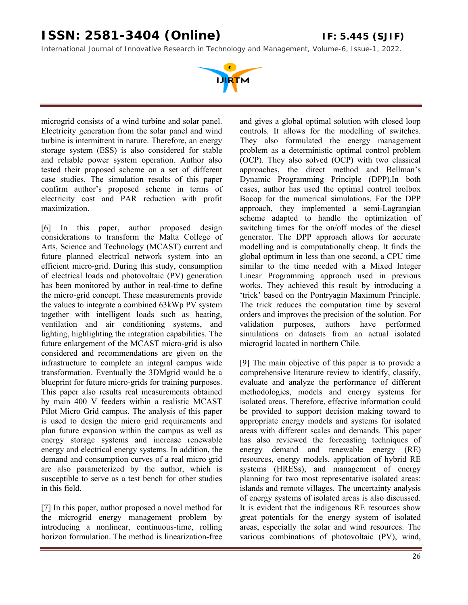*International Journal of Innovative Research in Technology and Management, Volume-6, Issue-1, 2022.* 



microgrid consists of a wind turbine and solar panel. Electricity generation from the solar panel and wind turbine is intermittent in nature. Therefore, an energy storage system (ESS) is also considered for stable and reliable power system operation. Author also tested their proposed scheme on a set of different case studies. The simulation results of this paper confirm author's proposed scheme in terms of electricity cost and PAR reduction with profit maximization.

[6] In this paper, author proposed design considerations to transform the Malta College of Arts, Science and Technology (MCAST) current and future planned electrical network system into an efficient micro-grid. During this study, consumption of electrical loads and photovoltaic (PV) generation has been monitored by author in real-time to define the micro-grid concept. These measurements provide the values to integrate a combined 63kWp PV system together with intelligent loads such as heating, ventilation and air conditioning systems, and lighting, highlighting the integration capabilities. The future enlargement of the MCAST micro-grid is also considered and recommendations are given on the infrastructure to complete an integral campus wide transformation. Eventually the 3DMgrid would be a blueprint for future micro-grids for training purposes. This paper also results real measurements obtained by main 400 V feeders within a realistic MCAST Pilot Micro Grid campus. The analysis of this paper is used to design the micro grid requirements and plan future expansion within the campus as well as energy storage systems and increase renewable energy and electrical energy systems. In addition, the demand and consumption curves of a real micro grid are also parameterized by the author, which is susceptible to serve as a test bench for other studies in this field.

[7] In this paper, author proposed a novel method for the microgrid energy management problem by introducing a nonlinear, continuous-time, rolling horizon formulation. The method is linearization-free

and gives a global optimal solution with closed loop controls. It allows for the modelling of switches. They also formulated the energy management problem as a deterministic optimal control problem (OCP). They also solved (OCP) with two classical approaches, the direct method and Bellman's Dynamic Programming Principle (DPP).In both cases, author has used the optimal control toolbox Bocop for the numerical simulations. For the DPP approach, they implemented a semi-Lagrangian scheme adapted to handle the optimization of switching times for the on/off modes of the diesel generator. The DPP approach allows for accurate modelling and is computationally cheap. It finds the global optimum in less than one second, a CPU time similar to the time needed with a Mixed Integer Linear Programming approach used in previous works. They achieved this result by introducing a 'trick' based on the Pontryagin Maximum Principle. The trick reduces the computation time by several orders and improves the precision of the solution. For validation purposes, authors have performed simulations on datasets from an actual isolated microgrid located in northern Chile.

[9] The main objective of this paper is to provide a comprehensive literature review to identify, classify, evaluate and analyze the performance of different methodologies, models and energy systems for isolated areas. Therefore, effective information could be provided to support decision making toward to appropriate energy models and systems for isolated areas with different scales and demands. This paper has also reviewed the forecasting techniques of energy demand and renewable energy (RE) resources, energy models, application of hybrid RE systems (HRESs), and management of energy planning for two most representative isolated areas: islands and remote villages. The uncertainty analysis of energy systems of isolated areas is also discussed. It is evident that the indigenous RE resources show great potentials for the energy system of isolated areas, especially the solar and wind resources. The various combinations of photovoltaic (PV), wind,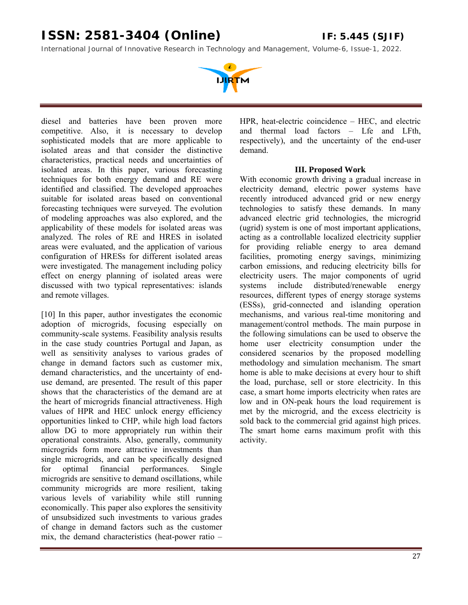*International Journal of Innovative Research in Technology and Management, Volume-6, Issue-1, 2022.* 



diesel and batteries have been proven more competitive. Also, it is necessary to develop sophisticated models that are more applicable to isolated areas and that consider the distinctive characteristics, practical needs and uncertainties of isolated areas. In this paper, various forecasting techniques for both energy demand and RE were identified and classified. The developed approaches suitable for isolated areas based on conventional forecasting techniques were surveyed. The evolution of modeling approaches was also explored, and the applicability of these models for isolated areas was analyzed. The roles of RE and HRES in isolated areas were evaluated, and the application of various configuration of HRESs for different isolated areas were investigated. The management including policy effect on energy planning of isolated areas were discussed with two typical representatives: islands and remote villages.

[10] In this paper, author investigates the economic adoption of microgrids, focusing especially on community-scale systems. Feasibility analysis results in the case study countries Portugal and Japan, as well as sensitivity analyses to various grades of change in demand factors such as customer mix, demand characteristics, and the uncertainty of enduse demand, are presented. The result of this paper shows that the characteristics of the demand are at the heart of microgrids financial attractiveness. High values of HPR and HEC unlock energy efficiency opportunities linked to CHP, while high load factors allow DG to more appropriately run within their operational constraints. Also, generally, community microgrids form more attractive investments than single microgrids, and can be specifically designed for optimal financial performances. Single microgrids are sensitive to demand oscillations, while community microgrids are more resilient, taking various levels of variability while still running economically. This paper also explores the sensitivity of unsubsidized such investments to various grades of change in demand factors such as the customer mix, the demand characteristics (heat-power ratio –

HPR, heat-electric coincidence – HEC, and electric and thermal load factors – Lfe and LFth, respectively), and the uncertainty of the end-user demand.

#### **III. Proposed Work**

With economic growth driving a gradual increase in electricity demand, electric power systems have recently introduced advanced grid or new energy technologies to satisfy these demands. In many advanced electric grid technologies, the microgrid (ugrid) system is one of most important applications, acting as a controllable localized electricity supplier for providing reliable energy to area demand facilities, promoting energy savings, minimizing carbon emissions, and reducing electricity bills for electricity users. The major components of ugrid systems include distributed/renewable energy resources, different types of energy storage systems (ESSs), grid-connected and islanding operation mechanisms, and various real-time monitoring and management/control methods. The main purpose in the following simulations can be used to observe the home user electricity consumption under the considered scenarios by the proposed modelling methodology and simulation mechanism. The smart home is able to make decisions at every hour to shift the load, purchase, sell or store electricity. In this case, a smart home imports electricity when rates are low and in ON-peak hours the load requirement is met by the microgrid, and the excess electricity is sold back to the commercial grid against high prices. The smart home earns maximum profit with this activity.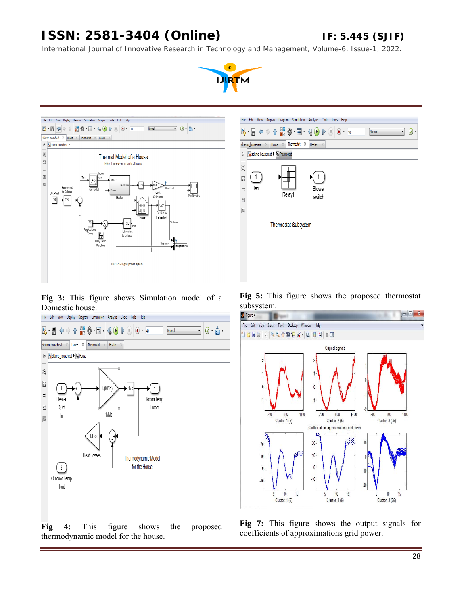*International Journal of Innovative Research in Technology and Management, Volume-6, Issue-1, 2022.* 





File Edit View Display Diagram Simulation Analysis Code Tools Help  $\overline{Q}$  $2.77 \Leftrightarrow \frac{1}{2}$ H Ô " 클 " Normal  $\overline{\cdot}$ sidemo\_househeat  $\times$  | House  $\times$  | Thermostat  $\times$  | Heater ⊕ <mark>→</mark> sidemo\_househeat ▶ → Thermostat  $\mathbb Q$  $\frac{1}{\kappa} \frac{3}{2}$  $\mathbf{1}$  $\mathbf{1}$  $\Rightarrow$ Terr Blower Relay1 switch  $\mathsf{A}^{\pm}_{\mathbb{Z}}$ n. Themostat Subsystem

**Fig 3:** This figure shows Simulation model of a Domestic house.



**Fig 5:** This figure shows the proposed thermostat



**Fig 4:** This figure shows the proposed thermodynamic model for the house.

**Fig 7:** This figure shows the output signals for coefficients of approximations grid power.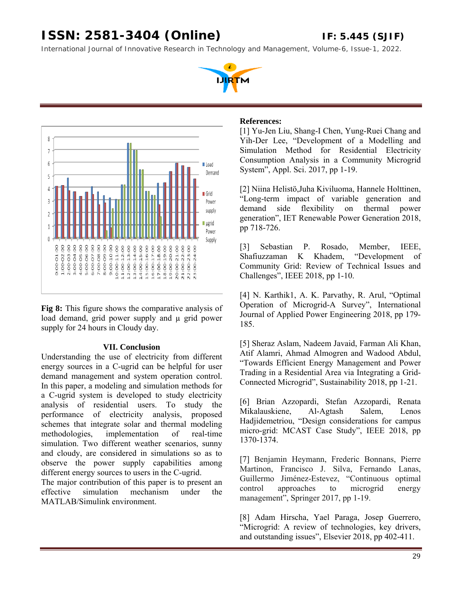*International Journal of Innovative Research in Technology and Management, Volume-6, Issue-1, 2022.* 





**Fig 8:** This figure shows the comparative analysis of load demand, grid power supply and  $\mu$  grid power supply for 24 hours in Cloudy day.

#### **VII. Conclusion**

Understanding the use of electricity from different energy sources in a C-ugrid can be helpful for user demand management and system operation control. In this paper, a modeling and simulation methods for a C-ugrid system is developed to study electricity analysis of residential users. To study the performance of electricity analysis, proposed schemes that integrate solar and thermal modeling methodologies, implementation of real-time simulation. Two different weather scenarios, sunny and cloudy, are considered in simulations so as to observe the power supply capabilities among different energy sources to users in the C-ugrid.

The major contribution of this paper is to present an effective simulation mechanism under the MATLAB/Simulink environment.

#### **References:**

[1] Yu-Jen Liu, Shang-I Chen, Yung-Ruei Chang and Yih-Der Lee, "Development of a Modelling and Simulation Method for Residential Electricity Consumption Analysis in a Community Microgrid System", Appl. Sci. 2017, pp 1-19.

[2] Niina Helistö,Juha Kiviluoma, Hannele Holttinen, "Long-term impact of variable generation and demand side flexibility on thermal power generation", IET Renewable Power Generation 2018, pp 718-726.

[3] Sebastian P. Rosado, Member, IEEE, Shafiuzzaman K Khadem, "Development of Community Grid: Review of Technical Issues and Challenges", IEEE 2018, pp 1-10.

[4] N. Karthik1, A. K. Parvathy, R. Arul, "Optimal Operation of Microgrid-A Survey", International Journal of Applied Power Engineering 2018, pp 179- 185.

[5] Sheraz Aslam, Nadeem Javaid, Farman Ali Khan, Atif Alamri, Ahmad Almogren and Wadood Abdul, "Towards Efficient Energy Management and Power Trading in a Residential Area via Integrating a Grid-Connected Microgrid", Sustainability 2018, pp 1-21.

[6] Brian Azzopardi, Stefan Azzopardi, Renata Mikalauskiene, Al-Agtash Salem, Lenos Hadjidemetriou, "Design considerations for campus micro-grid: MCAST Case Study", IEEE 2018, pp 1370-1374.

[7] Benjamin Heymann, Frederic Bonnans, Pierre Martinon, Francisco J. Silva, Fernando Lanas, Guillermo Jiménez-Estevez, "Continuous optimal control approaches to microgrid energy management", Springer 2017, pp 1-19.

[8] Adam Hirscha, Yael Paraga, Josep Guerrero, "Microgrid: A review of technologies, key drivers, and outstanding issues", Elsevier 2018, pp 402-411.